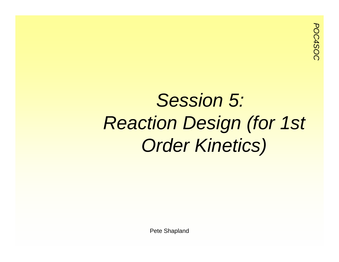### *Session 5: Reaction Design (for 1st Order Kinetics)*

Pete Shapland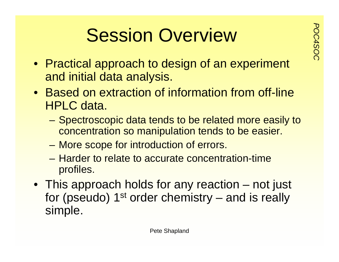# **Possion Overview**

- Practical approach to design of an experiment and initial data analysis.
- Based on extraction of information from off-line HPLC data.
	- Spectroscopic data tends to be related more easily to concentration so manipulation tends to be easier.
	- More scope for introduction of errors.
	- Harder to relate to accurate concentration-time profiles.
- This approach holds for any reaction not just for (pseudo)  $1<sup>st</sup>$  order chemistry – and is really simple.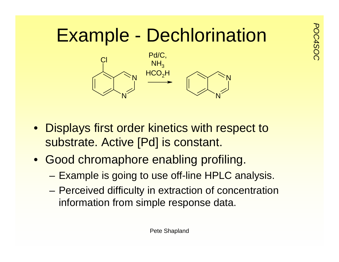# Example - Dechlorination



- Displays first order kinetics with respect to substrate. Active [Pd] is constant.
- Good chromaphore enabling profiling.
	- Example is going to use off-line HPLC analysis.
	- Perceived difficulty in extraction of concentration information from simple response data.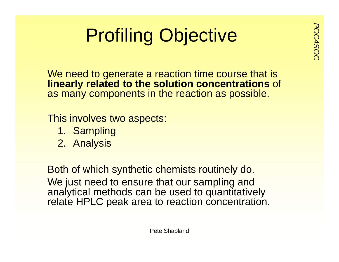# **Profiling Objective**

We need to generate a reaction time course that is **linearly related to the solution concentrations** of as many components in the reaction as possible.

This involves two aspects:

- 1. Sampling
- 2. Analysis

Both of which synthetic chemists routinely do. We just need to ensure that our sampling and analytical methods can be used to quantitatively relate HPLC peak area to reaction concentration.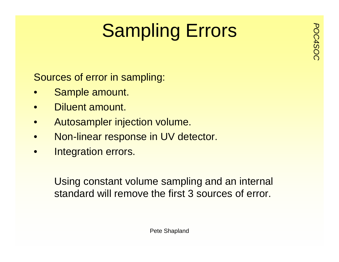# **Postalling Errors**

Sources of error in sampling:

- •Sample amount.
- •Diluent amount.
- •Autosampler injection volume.
- •Non-linear response in UV detector.
- •Integration errors.

Using constant volume sampling and an internal standard will remove the first 3 sources of error.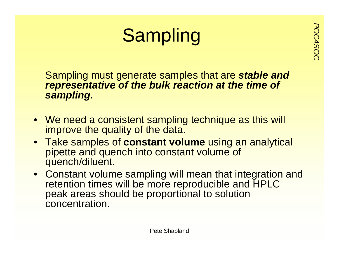## **Sampling**

Sampling must generate samples that are *stable and representative of the bulk reaction at the time of sampling.*

- We need a consistent sampling technique as this will improve the quality of the data.
- Take samples of **constant volume** using an analytical pipette and quench into constant volume of quench/diluent.
- Constant volume sampling will mean that integration and retention times will be more reproducible and HPLC peak areas should be proportional to solution concentration.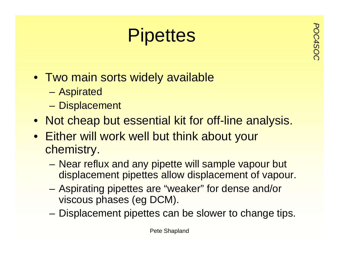# **Pipettes**

- Two main sorts widely available
	- Aspirated
	- –**Displacement**
- Not cheap but essential kit for off-line analysis.
- Either will work well but think about your chemistry.
	- Near reflux and any pipette will sample vapour but displacement pipettes allow displacement of vapour.
	- Aspirating pipettes are "weaker" for dense and/or viscous phases (eg DCM).
	- Displacement pipettes can be slower to change tips.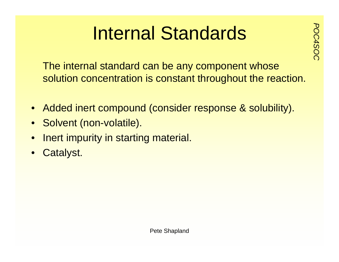# **Internal Standards**

The internal standard can be any component whose solution concentration is constant throughout the reaction.

- Added inert compound (consider response & solubility).
- Solvent (non-volatile).
- •Inert impurity in starting material.
- Catalyst.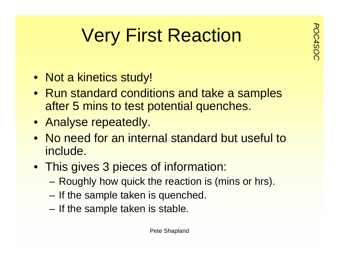### **Very First Reaction**

- Not a kinetics study!
- Run standard conditions and take a samples after 5 mins to test potential quenches.
- Analyse repeatedly.
- No need for an internal standard but useful to include.
- This gives 3 pieces of information:
	- –Roughly how quick the reaction is (mins or hrs).
	- If the sample taken is quenched.
	- –If the sample taken is stable.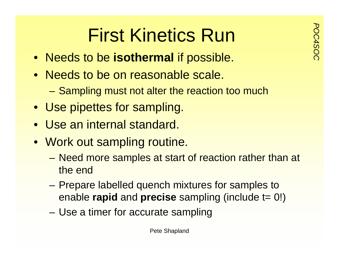# **Port First Kinetics Run**<br> **Port is a set for the result of the isothermal** if possible

- Needs to be **isothermal** if possible.
- Needs to be on reasonable scale.
	- Sampling must not alter the reaction too much
- Use pipettes for sampling.
- Use an internal standard.
- Work out sampling routine.
	- Need more samples at start of reaction rather than at the end
	- – Prepare labelled quench mixtures for samples to enable **rapid** and **precise** sampling (include t= 0!)
	- Use a timer for accurate sampling

Pete Shapland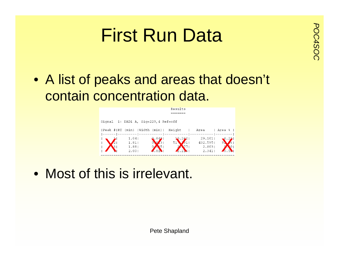# **Pirst Run Data**

• A list of peaks and areas that doesn't contain concentration data.



• Most of this is irrelevant.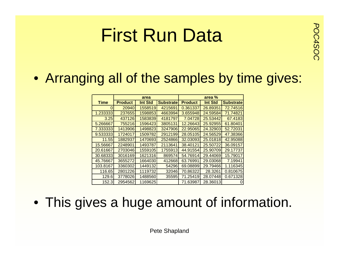# **Purst Run Data**

#### • Arranging all of the samples by time gives:

|             | area           |                |                  | area %         |                |                  |
|-------------|----------------|----------------|------------------|----------------|----------------|------------------|
| <b>Time</b> | <b>Product</b> | <b>Int Std</b> | <b>Substrate</b> | <b>Product</b> | <b>Int Std</b> | <b>Substrate</b> |
| 0           | 20940          | 1558519        | 4215691          | 0.361337       | 26.89351       | 72.74516         |
| 1.233333    | 237655         | 1598853        | 4663994          | 3.655948       | 24.59584       | 71.74821         |
| 3.25        | 437126         | 1583839        | 4181797          | 7.04728        | 25.53442       | 67.4183          |
| 5.266667    | 755216         | 1596423        | 3805131          | 12.26643       | 25.92955       | 61.80401         |
| 7.333333    | 1413906        | 1498823        | 3247906          | 22.95065       | 24.32903       | 52.72031         |
| 9.533333    | 1724017        | 1509782        | 2912199          | 28.05105       | 24.56529       | 47.38366         |
| 11.55       | 1882937        | 1470693        | 2524866          | 32.03093       | 25.01818       | 42.95088         |
| 15.56667    | 2248901        | 1493787        | 2113641          | 38.40121       | 25.50722       | 36.09157         |
| 20.61667    | 2703046        | 1559105        | 1755913          | 44.91554       | 25.90709       | 29.17737         |
| 30.68333    | 3016169        | 1621316        | 869574           | 54.76914       | 29.44069       | 15.79017         |
| 45.76667    | 3655272        | 1664030        | 412668           | 63.76991       | 29.03068       | 7.19941          |
| 103.8167    | 3360302        | 1449132        | 54296            | 69.08899       | 29.79466       | 1.116345         |
| 116.65      | 2801226        | 1119732        | 32046            | 70.86322       | 28.3261        | 0.810675         |
| 129.6       | 3778026        | 1488560        | 35595            | 71.25419       | 28.07448       | 0.671328         |
| 152.3       | 2954562        | 1169625        |                  | 71.63987       | 28.36013       | 0                |

• This gives a huge amount of information.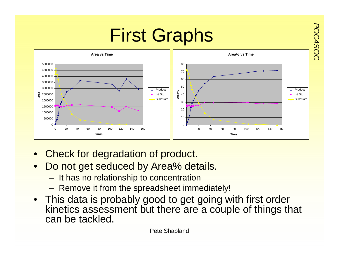

- •Check for degradation of product.
- •Do not get seduced by Area% details.
	- It has no relationship to concentration
	- Remove it from the spreadsheet immediately!
- This data is probably good to get going with first order kinetics assessment but there are a couple of things that can be tackled.

Pete Shapland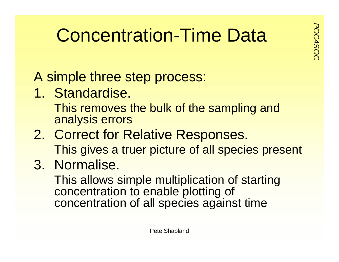### **Concentration-Time Data**

A simple three step process:

1. Standardise.

This removes the bulk of the sampling and analysis errors

- 2. Correct for Relative Responses. This gives a truer picture of all species present
- 3. Normalise.

This allows simple multiplication of starting concentration to enable plotting of concentration of all species against time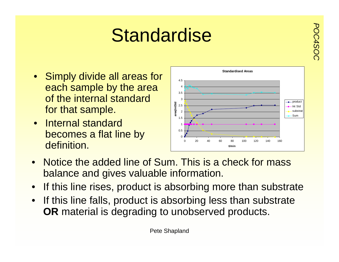### **Standardise**

- Simply divide all areas for each sample by the area of the internal standard for that sample.
- Internal standard becomes a flat line by definition.



- Notice the added line of Sum. This is a check for mass balance and gives valuable information.
- If this line rises, product is absorbing more than substrate
- If this line falls, product is absorbing less than substrate **OR** material is degrading to unobserved products.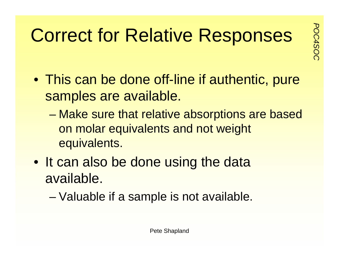### **Correct for Relative Responses**

- This can be done off-line if authentic, pure samples are available.
	- – Make sure that relative absorptions are based on molar equivalents and not weight equivalents.
- It can also be done using the data available.
	- –Valuable if a sample is not available.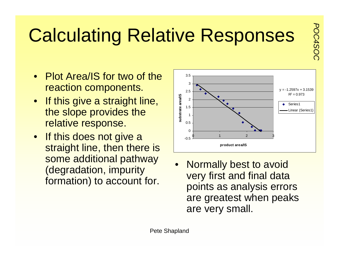### **Calculating Relative Responses**

- Plot Area/IS for two of the reaction components.
- If this give a straight line, the slope provides the relative response.
- If this does not give a straight line, then there is some additional pathway (degradation, impurity formation) to account for.



• Normally best to avoid very first and final data points as analysis errors are greatest when peaks are very small.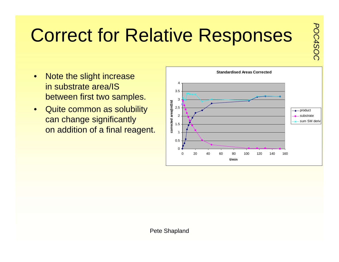# **Correct for Relative Responses**

- $\bullet$  Note the slight increase in substrate area/ISbetween first two samples.
- • Quite common as solubility can change significantly on addition of a final reagent.

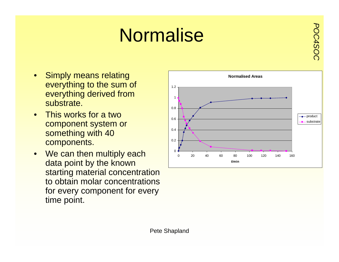# **Normalise**

- Simply means relating everything to the sum of everything derived from substrate.
- $\bullet$  This works for a two component system or something with 40 components.
- We can then multiply each data point by the known starting material concentration to obtain molar concentrations for every component for every time point.

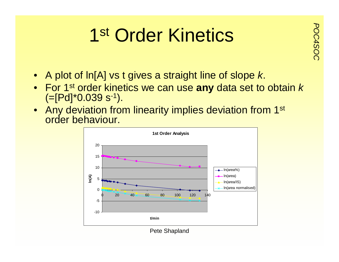# **PROFINGION 1st Order Kinetics**

- A plot of ln[A] vs t gives a straight line of slope *k*.
- For 1st order kinetics we can use **any** data set to obtain *k*  $(=[Pd]^*0.039 s^{-1}).$
- $\bullet~$  Any deviation from linearity implies deviation from 1 $^{\rm st}$ order behaviour.



Pete Shapland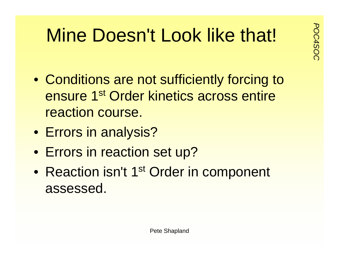### **Mine Doesn't Look like that!**

- Conditions are not sufficiently forcing to ensure 1s<sup>t</sup> Order kinetics across entire reaction course.
- Errors in analysis?
- Errors in reaction set up?
- $\bullet$ Reaction isn't 1<sup>st</sup> Order in component assessed.